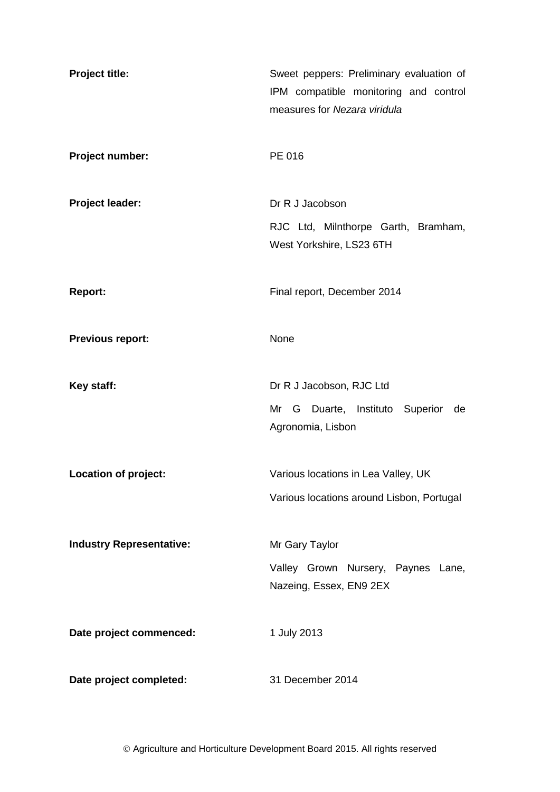| <b>Project title:</b>           | Sweet peppers: Preliminary evaluation of<br>IPM compatible monitoring and control<br>measures for Nezara viridula |
|---------------------------------|-------------------------------------------------------------------------------------------------------------------|
| Project number:                 | PE 016                                                                                                            |
| Project leader:                 | Dr R J Jacobson                                                                                                   |
|                                 | RJC Ltd, Milnthorpe Garth, Bramham,<br>West Yorkshire, LS23 6TH                                                   |
| Report:                         | Final report, December 2014                                                                                       |
| <b>Previous report:</b>         | None                                                                                                              |
| Key staff:                      | Dr R J Jacobson, RJC Ltd                                                                                          |
|                                 | Mr G Duarte, Instituto Superior<br>de<br>Agronomia, Lisbon                                                        |
| Location of project:            | Various locations in Lea Valley, UK                                                                               |
|                                 | Various locations around Lisbon, Portugal                                                                         |
| <b>Industry Representative:</b> | Mr Gary Taylor                                                                                                    |
|                                 | Valley Grown Nursery, Paynes<br>Lane,<br>Nazeing, Essex, EN9 2EX                                                  |
| Date project commenced:         | 1 July 2013                                                                                                       |
| Date project completed:         | 31 December 2014                                                                                                  |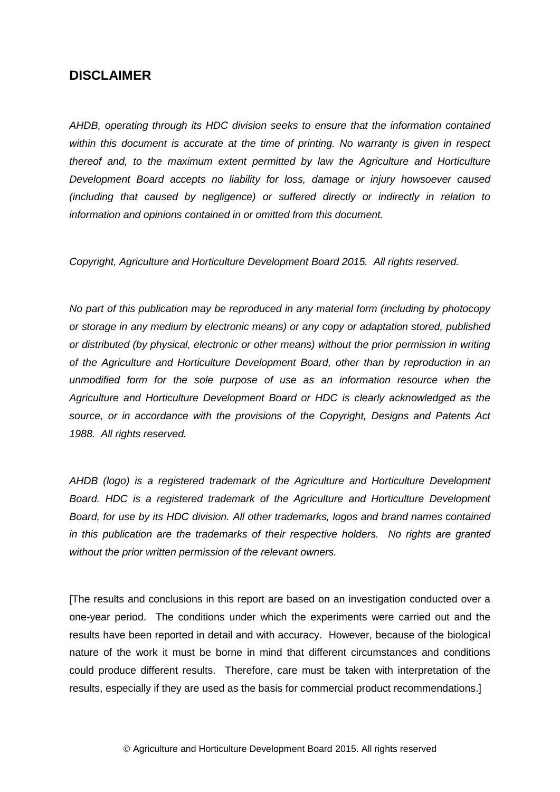### **DISCLAIMER**

*AHDB, operating through its HDC division seeks to ensure that the information contained within this document is accurate at the time of printing. No warranty is given in respect thereof and, to the maximum extent permitted by law the Agriculture and Horticulture Development Board accepts no liability for loss, damage or injury howsoever caused (including that caused by negligence) or suffered directly or indirectly in relation to information and opinions contained in or omitted from this document.* 

*Copyright, Agriculture and Horticulture Development Board 2015. All rights reserved.*

*No part of this publication may be reproduced in any material form (including by photocopy or storage in any medium by electronic means) or any copy or adaptation stored, published or distributed (by physical, electronic or other means) without the prior permission in writing of the Agriculture and Horticulture Development Board, other than by reproduction in an unmodified form for the sole purpose of use as an information resource when the Agriculture and Horticulture Development Board or HDC is clearly acknowledged as the source, or in accordance with the provisions of the Copyright, Designs and Patents Act 1988. All rights reserved.* 

*AHDB (logo) is a registered trademark of the Agriculture and Horticulture Development Board. HDC is a registered trademark of the Agriculture and Horticulture Development Board, for use by its HDC division. All other trademarks, logos and brand names contained in this publication are the trademarks of their respective holders. No rights are granted without the prior written permission of the relevant owners.*

[The results and conclusions in this report are based on an investigation conducted over a one-year period. The conditions under which the experiments were carried out and the results have been reported in detail and with accuracy. However, because of the biological nature of the work it must be borne in mind that different circumstances and conditions could produce different results. Therefore, care must be taken with interpretation of the results, especially if they are used as the basis for commercial product recommendations.]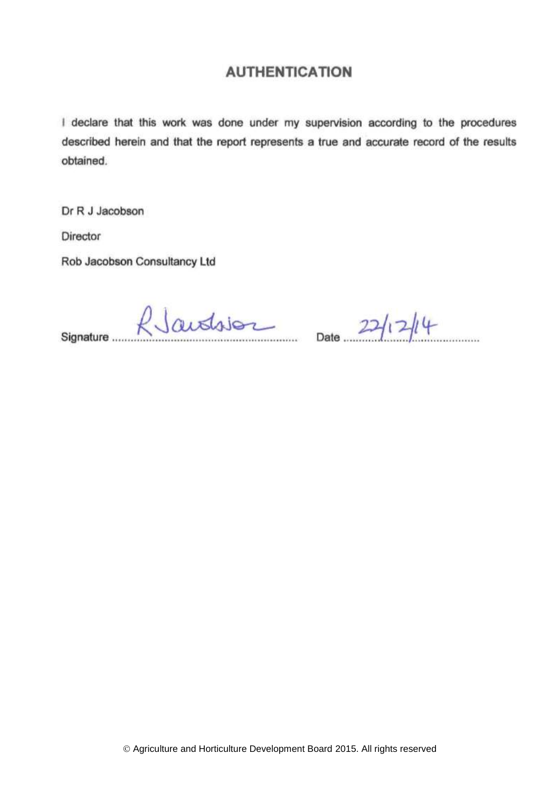# **AUTHENTICATION**

I declare that this work was done under my supervision according to the procedures described herein and that the report represents a true and accurate record of the results obtained.

Dr R J Jacobson

Director

Rob Jacobson Consultancy Ltd

 $RJautioz_{net} = 22/12/14$ Signature ....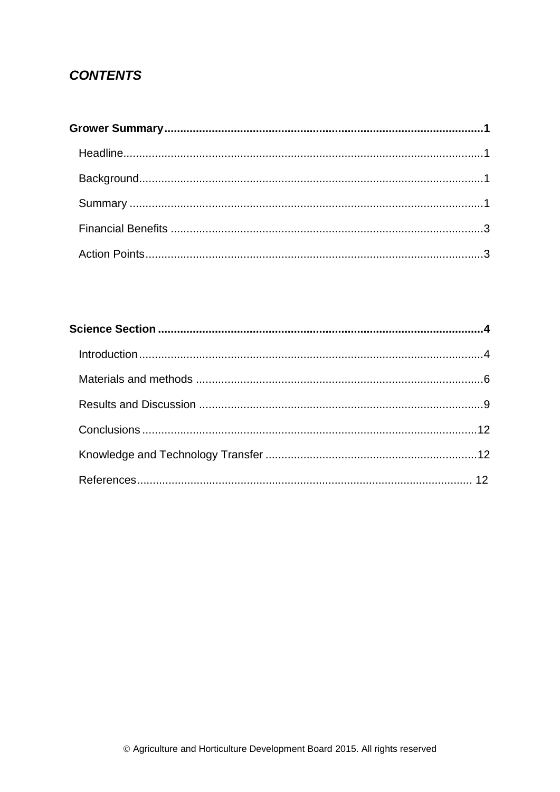# **CONTENTS**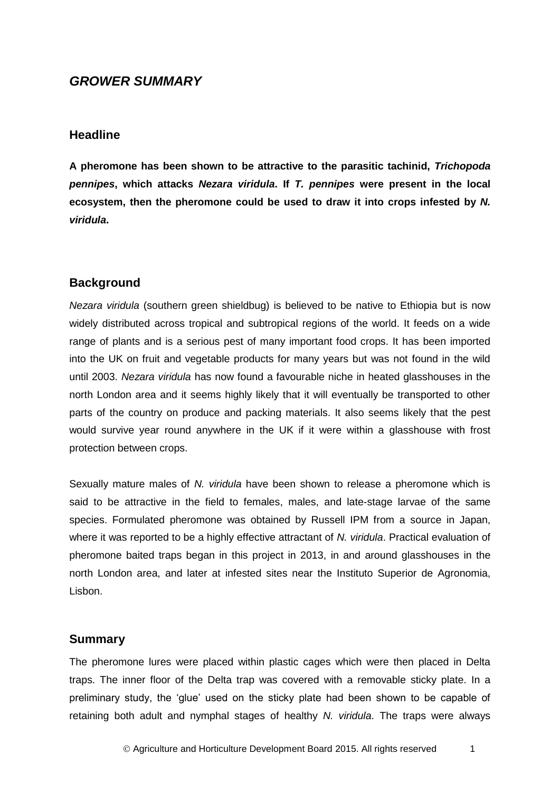## <span id="page-4-0"></span>*GROWER SUMMARY*

### <span id="page-4-2"></span><span id="page-4-1"></span>**Headline**

**A pheromone has been shown to be attractive to the parasitic tachinid,** *Trichopoda pennipes***, which attacks** *Nezara viridula***. If** *T. pennipes* **were present in the local ecosystem, then the pheromone could be used to draw it into crops infested by** *N. viridula***.**

### <span id="page-4-3"></span>**Background**

*Nezara viridula* (southern green shieldbug) is believed to be native to Ethiopia but is now widely distributed across tropical and subtropical regions of the world. It feeds on a wide range of plants and is a serious pest of many important food crops. It has been imported into the UK on fruit and vegetable products for many years but was not found in the wild until 2003. *Nezara viridula* has now found a favourable niche in heated glasshouses in the north London area and it seems highly likely that it will eventually be transported to other parts of the country on produce and packing materials. It also seems likely that the pest would survive year round anywhere in the UK if it were within a glasshouse with frost protection between crops.

Sexually mature males of *N. viridula* have been shown to release a pheromone which is said to be attractive in the field to females, males, and late-stage larvae of the same species. Formulated pheromone was obtained by Russell IPM from a source in Japan, where it was reported to be a highly effective attractant of *N. viridula*. Practical evaluation of pheromone baited traps began in this project in 2013, in and around glasshouses in the north London area, and later at infested sites near the Instituto Superior de Agronomia, Lisbon.

### **Summary**

<span id="page-4-4"></span>The pheromone lures were placed within plastic cages which were then placed in Delta traps. The inner floor of the Delta trap was covered with a removable sticky plate. In a preliminary study, the 'glue' used on the sticky plate had been shown to be capable of retaining both adult and nymphal stages of healthy *N. viridula*. The traps were always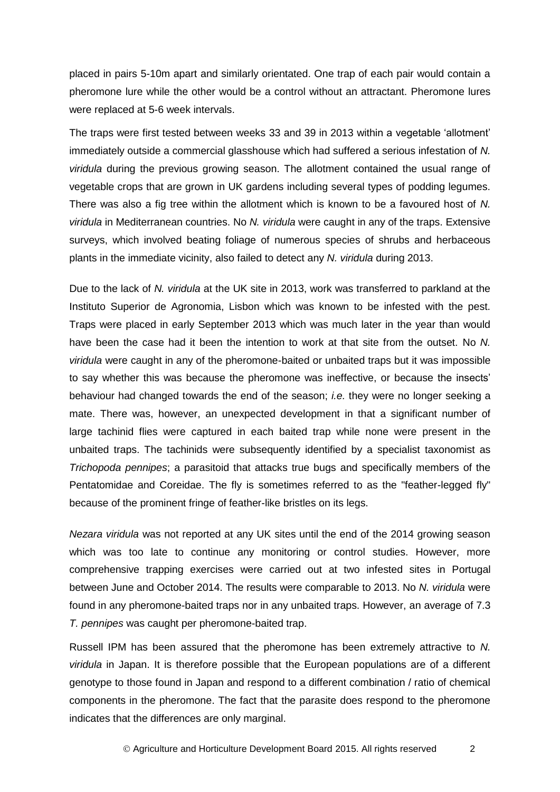placed in pairs 5-10m apart and similarly orientated. One trap of each pair would contain a pheromone lure while the other would be a control without an attractant. Pheromone lures were replaced at 5-6 week intervals.

The traps were first tested between weeks 33 and 39 in 2013 within a vegetable 'allotment' immediately outside a commercial glasshouse which had suffered a serious infestation of *N. viridula* during the previous growing season. The allotment contained the usual range of vegetable crops that are grown in UK gardens including several types of podding legumes. There was also a fig tree within the allotment which is known to be a favoured host of *N. viridula* in Mediterranean countries. No *N. viridula* were caught in any of the traps. Extensive surveys, which involved beating foliage of numerous species of shrubs and herbaceous plants in the immediate vicinity, also failed to detect any *N. viridula* during 2013.

Due to the lack of *N. viridula* at the UK site in 2013, work was transferred to parkland at the Instituto Superior de Agronomia, Lisbon which was known to be infested with the pest. Traps were placed in early September 2013 which was much later in the year than would have been the case had it been the intention to work at that site from the outset. No *N. viridula* were caught in any of the pheromone-baited or unbaited traps but it was impossible to say whether this was because the pheromone was ineffective, or because the insects' behaviour had changed towards the end of the season; *i.e.* they were no longer seeking a mate. There was, however, an unexpected development in that a significant number of large tachinid flies were captured in each baited trap while none were present in the unbaited traps. The tachinids were subsequently identified by a specialist taxonomist as *Trichopoda pennipes*; a parasitoid that attacks true bugs and specifically members of the Pentatomidae and Coreidae. The fly is sometimes referred to as the "feather-legged fly" because of the prominent fringe of feather-like bristles on its legs.

*Nezara viridula* was not reported at any UK sites until the end of the 2014 growing season which was too late to continue any monitoring or control studies. However, more comprehensive trapping exercises were carried out at two infested sites in Portugal between June and October 2014. The results were comparable to 2013. No *N. viridula* were found in any pheromone-baited traps nor in any unbaited traps. However, an average of 7.3 *T. pennipes* was caught per pheromone-baited trap.

Russell IPM has been assured that the pheromone has been extremely attractive to *N. viridula* in Japan. It is therefore possible that the European populations are of a different genotype to those found in Japan and respond to a different combination / ratio of chemical components in the pheromone. The fact that the parasite does respond to the pheromone indicates that the differences are only marginal.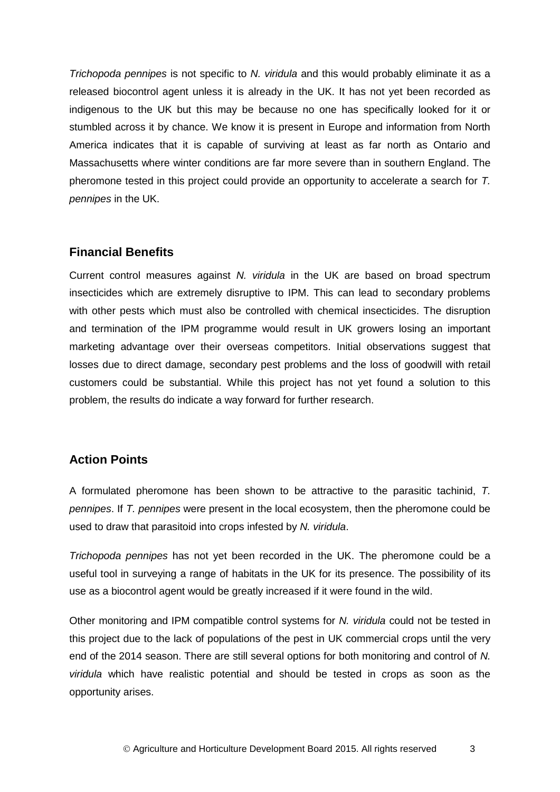*Trichopoda pennipes* is not specific to *N. viridula* and this would probably eliminate it as a released biocontrol agent unless it is already in the UK. It has not yet been recorded as indigenous to the UK but this may be because no one has specifically looked for it or stumbled across it by chance. We know it is present in Europe and information from North America indicates that it is capable of surviving at least as far north as Ontario and Massachusetts where winter conditions are far more severe than in southern England. The pheromone tested in this project could provide an opportunity to accelerate a search for *T. pennipes* in the UK.

### **Financial Benefits**

<span id="page-6-0"></span>Current control measures against *N. viridula* in the UK are based on broad spectrum insecticides which are extremely disruptive to IPM. This can lead to secondary problems with other pests which must also be controlled with chemical insecticides. The disruption and termination of the IPM programme would result in UK growers losing an important marketing advantage over their overseas competitors. Initial observations suggest that losses due to direct damage, secondary pest problems and the loss of goodwill with retail customers could be substantial. While this project has not yet found a solution to this problem, the results do indicate a way forward for further research.

### **Action Points**

A formulated pheromone has been shown to be attractive to the parasitic tachinid, *T. pennipes*. If *T. pennipes* were present in the local ecosystem, then the pheromone could be used to draw that parasitoid into crops infested by *N. viridula*.

*Trichopoda pennipes* has not yet been recorded in the UK. The pheromone could be a useful tool in surveying a range of habitats in the UK for its presence. The possibility of its use as a biocontrol agent would be greatly increased if it were found in the wild.

Other monitoring and IPM compatible control systems for *N. viridula* could not be tested in this project due to the lack of populations of the pest in UK commercial crops until the very end of the 2014 season. There are still several options for both monitoring and control of *N. viridula* which have realistic potential and should be tested in crops as soon as the opportunity arises.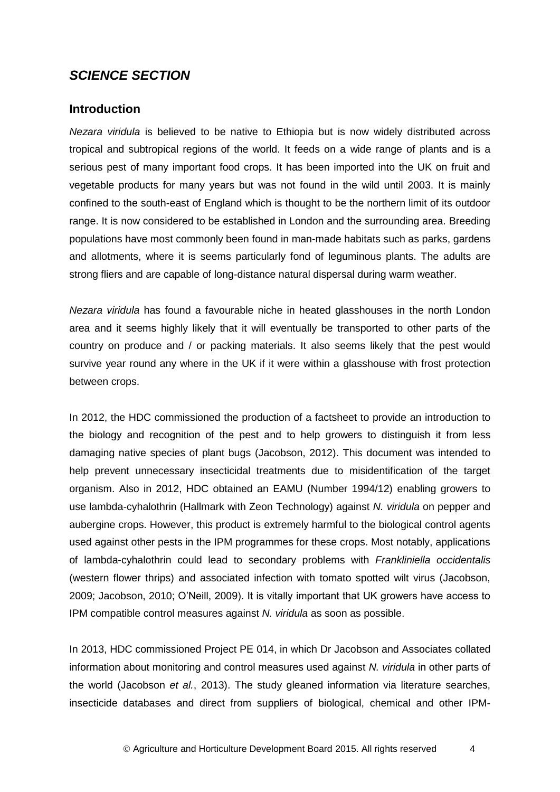## <span id="page-7-0"></span>*SCIENCE SECTION*

### <span id="page-7-1"></span>**Introduction**

<span id="page-7-2"></span>*Nezara viridula* is believed to be native to Ethiopia but is now widely distributed across tropical and subtropical regions of the world. It feeds on a wide range of plants and is a serious pest of many important food crops. It has been imported into the UK on fruit and vegetable products for many years but was not found in the wild until 2003. It is mainly confined to the south-east of England which is thought to be the northern limit of its outdoor range. It is now considered to be established in London and the surrounding area. Breeding populations have most commonly been found in man-made habitats such as parks, gardens and allotments, where it is seems particularly fond of leguminous plants. The adults are strong fliers and are capable of long-distance natural dispersal during warm weather.

*Nezara viridula* has found a favourable niche in heated glasshouses in the north London area and it seems highly likely that it will eventually be transported to other parts of the country on produce and / or packing materials. It also seems likely that the pest would survive year round any where in the UK if it were within a glasshouse with frost protection between crops.

In 2012, the HDC commissioned the production of a factsheet to provide an introduction to the biology and recognition of the pest and to help growers to distinguish it from less damaging native species of plant bugs (Jacobson, 2012). This document was intended to help prevent unnecessary insecticidal treatments due to misidentification of the target organism. Also in 2012, HDC obtained an EAMU (Number 1994/12) enabling growers to use lambda-cyhalothrin (Hallmark with Zeon Technology) against *N. viridula* on pepper and aubergine crops. However, this product is extremely harmful to the biological control agents used against other pests in the IPM programmes for these crops. Most notably, applications of lambda-cyhalothrin could lead to secondary problems with *Frankliniella occidentalis*  (western flower thrips) and associated infection with tomato spotted wilt virus (Jacobson, 2009; Jacobson, 2010; O'Neill, 2009). It is vitally important that UK growers have access to IPM compatible control measures against *N. viridula* as soon as possible.

In 2013, HDC commissioned Project PE 014, in which Dr Jacobson and Associates collated information about monitoring and control measures used against *N. viridula* in other parts of the world (Jacobson *et al.*, 2013). The study gleaned information via literature searches, insecticide databases and direct from suppliers of biological, chemical and other IPM-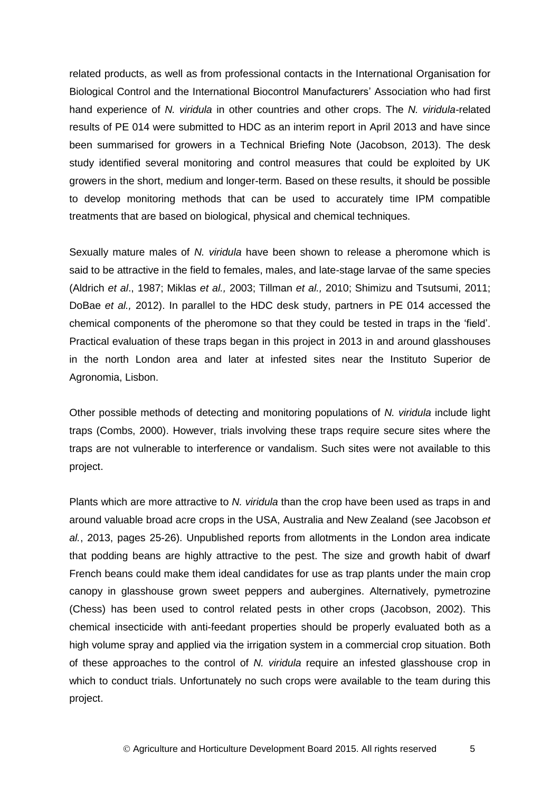related products, as well as from professional contacts in the International Organisation for Biological Control and the International Biocontrol Manufacturers' Association who had first hand experience of *N. viridula* in other countries and other crops. The *N. viridula-*related results of PE 014 were submitted to HDC as an interim report in April 2013 and have since been summarised for growers in a Technical Briefing Note (Jacobson, 2013). The desk study identified several monitoring and control measures that could be exploited by UK growers in the short, medium and longer-term. Based on these results, it should be possible to develop monitoring methods that can be used to accurately time IPM compatible treatments that are based on biological, physical and chemical techniques.

Sexually mature males of *N. viridula* have been shown to release a pheromone which is said to be attractive in the field to females, males, and late-stage larvae of the same species (Aldrich *et al*., 1987; Miklas *et al.,* 2003; Tillman *et al.,* 2010; Shimizu and Tsutsumi, 2011; DoBae *et al.,* 2012). In parallel to the HDC desk study, partners in PE 014 accessed the chemical components of the pheromone so that they could be tested in traps in the 'field'. Practical evaluation of these traps began in this project in 2013 in and around glasshouses in the north London area and later at infested sites near the Instituto Superior de Agronomia, Lisbon.

Other possible methods of detecting and monitoring populations of *N. viridula* include light traps (Combs, 2000). However, trials involving these traps require secure sites where the traps are not vulnerable to interference or vandalism. Such sites were not available to this project.

Plants which are more attractive to *N. viridula* than the crop have been used as traps in and around valuable broad acre crops in the USA, Australia and New Zealand (see Jacobson *et al.*, 2013, pages 25-26). Unpublished reports from allotments in the London area indicate that podding beans are highly attractive to the pest. The size and growth habit of dwarf French beans could make them ideal candidates for use as trap plants under the main crop canopy in glasshouse grown sweet peppers and aubergines. Alternatively, pymetrozine (Chess) has been used to control related pests in other crops (Jacobson, 2002). This chemical insecticide with anti-feedant properties should be properly evaluated both as a high volume spray and applied via the irrigation system in a commercial crop situation. Both of these approaches to the control of *N. viridula* require an infested glasshouse crop in which to conduct trials. Unfortunately no such crops were available to the team during this project.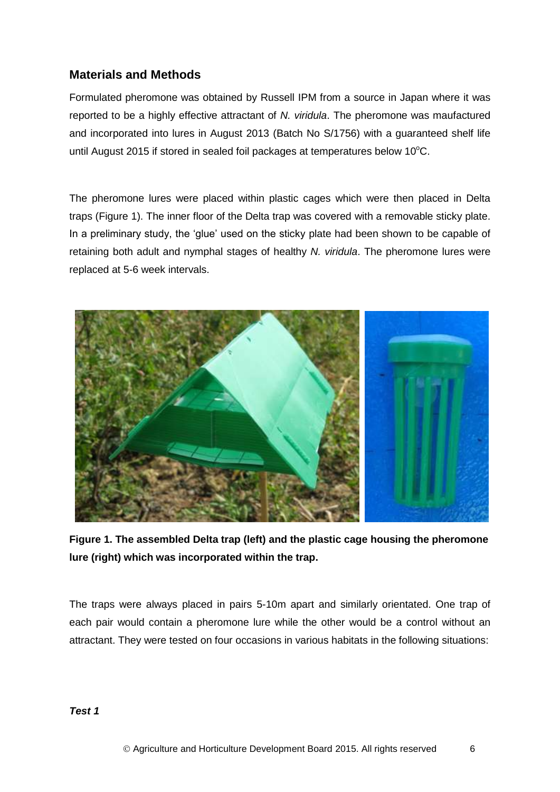## **Materials and Methods**

<span id="page-9-0"></span>Formulated pheromone was obtained by Russell IPM from a source in Japan where it was reported to be a highly effective attractant of *N. viridula*. The pheromone was maufactured and incorporated into lures in August 2013 (Batch No S/1756) with a guaranteed shelf life until August 2015 if stored in sealed foil packages at temperatures below  $10^{\circ}$ C.

The pheromone lures were placed within plastic cages which were then placed in Delta traps (Figure 1). The inner floor of the Delta trap was covered with a removable sticky plate. In a preliminary study, the 'glue' used on the sticky plate had been shown to be capable of retaining both adult and nymphal stages of healthy *N. viridula*. The pheromone lures were replaced at 5-6 week intervals.



**Figure 1. The assembled Delta trap (left) and the plastic cage housing the pheromone lure (right) which was incorporated within the trap.**

The traps were always placed in pairs 5-10m apart and similarly orientated. One trap of each pair would contain a pheromone lure while the other would be a control without an attractant. They were tested on four occasions in various habitats in the following situations: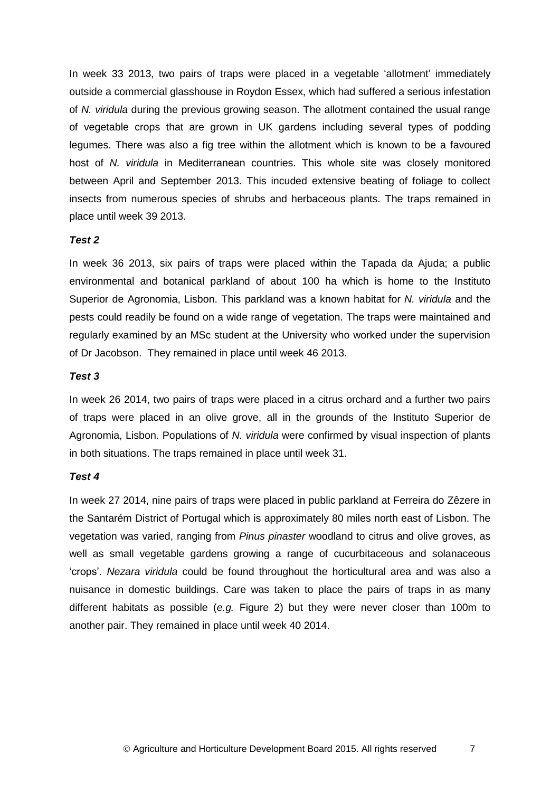In week 33 2013, two pairs of traps were placed in a vegetable 'allotment' immediately outside a commercial glasshouse in Roydon Essex, which had suffered a serious infestation of *N. viridula* during the previous growing season. The allotment contained the usual range of vegetable crops that are grown in UK gardens including several types of podding legumes. There was also a fig tree within the allotment which is known to be a favoured host of *N. viridula* in Mediterranean countries. This whole site was closely monitored between April and September 2013. This incuded extensive beating of foliage to collect insects from numerous species of shrubs and herbaceous plants. The traps remained in place until week 39 2013.

#### *Test 2*

In week 36 2013, six pairs of traps were placed within the Tapada da Ajuda; a public environmental and botanical parkland of about 100 ha which is home to the Instituto Superior de Agronomia, Lisbon. This parkland was a known habitat for *N. viridula* and the pests could readily be found on a wide range of vegetation. The traps were maintained and regularly examined by an MSc student at the University who worked under the supervision of Dr Jacobson. They remained in place until week 46 2013.

#### *Test 3*

In week 26 2014, two pairs of traps were placed in a citrus orchard and a further two pairs of traps were placed in an olive grove, all in the grounds of the Instituto Superior de Agronomia, Lisbon. Populations of *N. viridula* were confirmed by visual inspection of plants in both situations. The traps remained in place until week 31.

#### *Test 4*

In week 27 2014, nine pairs of traps were placed in public parkland at Ferreira do Zêzere in the Santarém District of Portugal which is approximately 80 miles north east of Lisbon. The vegetation was varied, ranging from *Pinus pinaster* woodland to citrus and olive groves, as well as small vegetable gardens growing a range of cucurbitaceous and solanaceous 'crops'. *Nezara viridula* could be found throughout the horticultural area and was also a nuisance in domestic buildings. Care was taken to place the pairs of traps in as many different habitats as possible (*e.g.* Figure 2) but they were never closer than 100m to another pair. They remained in place until week 40 2014.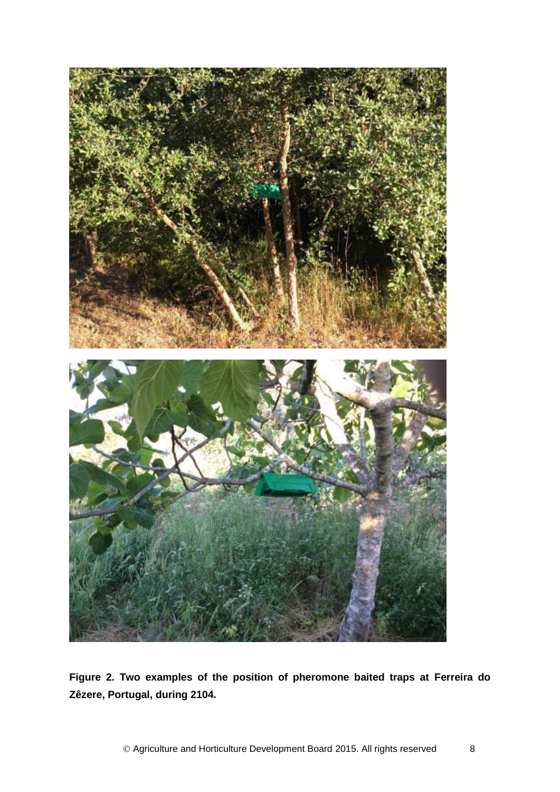

**Figure 2. Two examples of the position of pheromone baited traps at Ferreira do Zêzere, Portugal, during 2104.**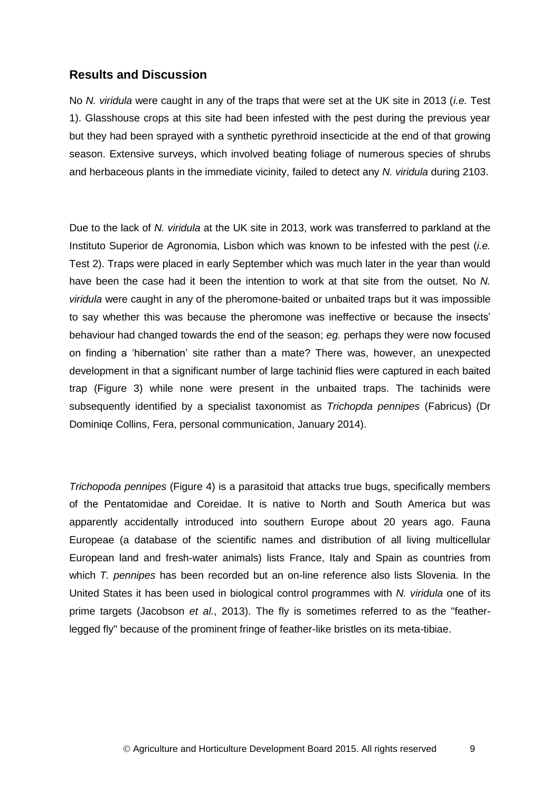#### **Results and Discussion**

No *N. viridula* were caught in any of the traps that were set at the UK site in 2013 (*i.e.* Test 1). Glasshouse crops at this site had been infested with the pest during the previous year but they had been sprayed with a synthetic pyrethroid insecticide at the end of that growing season. Extensive surveys, which involved beating foliage of numerous species of shrubs and herbaceous plants in the immediate vicinity, failed to detect any *N. viridula* during 2103.

Due to the lack of *N. viridula* at the UK site in 2013, work was transferred to parkland at the Instituto Superior de Agronomia, Lisbon which was known to be infested with the pest (*i.e.*  Test 2). Traps were placed in early September which was much later in the year than would have been the case had it been the intention to work at that site from the outset. No *N. viridula* were caught in any of the pheromone-baited or unbaited traps but it was impossible to say whether this was because the pheromone was ineffective or because the insects' behaviour had changed towards the end of the season; *eg.* perhaps they were now focused on finding a 'hibernation' site rather than a mate? There was, however, an unexpected development in that a significant number of large tachinid flies were captured in each baited trap (Figure 3) while none were present in the unbaited traps. The tachinids were subsequently identified by a specialist taxonomist as *Trichopda pennipes* (Fabricus) (Dr Dominiqe Collins, Fera, personal communication, January 2014).

*Trichopoda pennipes* (Figure 4) is a parasitoid that attacks true bugs, specifically members of the Pentatomidae and Coreidae. It is native to North and South America but was apparently accidentally introduced into southern Europe about 20 years ago. Fauna Europeae (a database of the [scientific names](http://en.wikipedia.org/wiki/Scientific_name) and distribution of all living [multicellular](http://en.wikipedia.org/wiki/Multicellular) [European](http://en.wikipedia.org/wiki/Europe) land and fresh-water animals) lists France, Italy and Spain as countries from which *T. pennipes* has been recorded but an on-line reference also lists Slovenia. In the United States it has been used in biological control programmes with *N. viridula* one of its prime targets (Jacobson *et al.*, 2013). The fly is sometimes referred to as the "featherlegged fly" because of the prominent fringe of feather-like bristles on its meta-tibiae.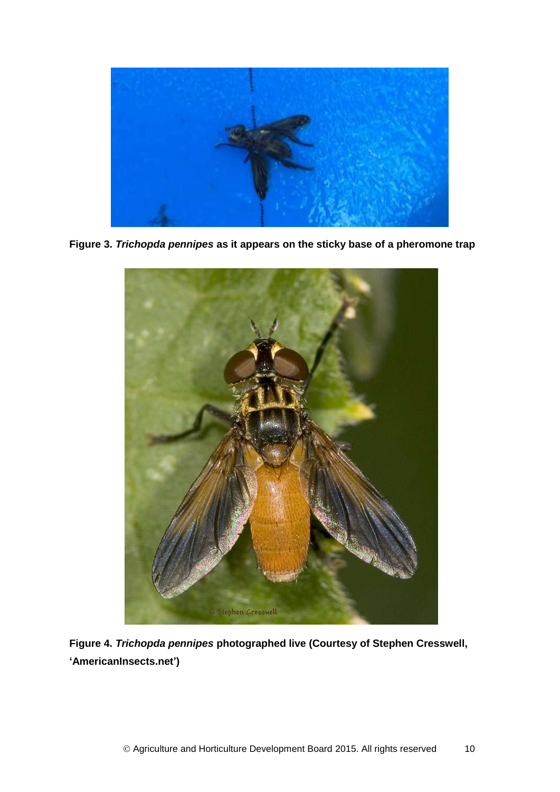

**Figure 3.** *Trichopda pennipes* **as it appears on the sticky base of a pheromone trap**



**Figure 4.** *Trichopda pennipes* **photographed live (Courtesy of Stephen Cresswell, 'AmericanInsects.net')**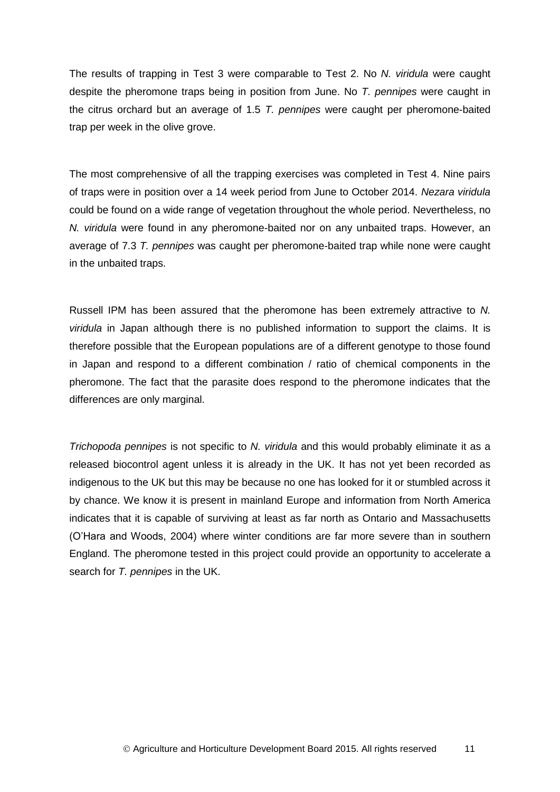The results of trapping in Test 3 were comparable to Test 2. No *N. viridula* were caught despite the pheromone traps being in position from June. No *T. pennipes* were caught in the citrus orchard but an average of 1.5 *T. pennipes* were caught per pheromone-baited trap per week in the olive grove.

The most comprehensive of all the trapping exercises was completed in Test 4. Nine pairs of traps were in position over a 14 week period from June to October 2014. *Nezara viridula*  could be found on a wide range of vegetation throughout the whole period. Nevertheless, no *N. viridula* were found in any pheromone-baited nor on any unbaited traps. However, an average of 7.3 *T. pennipes* was caught per pheromone-baited trap while none were caught in the unbaited traps.

Russell IPM has been assured that the pheromone has been extremely attractive to *N. viridula* in Japan although there is no published information to support the claims. It is therefore possible that the European populations are of a different genotype to those found in Japan and respond to a different combination / ratio of chemical components in the pheromone. The fact that the parasite does respond to the pheromone indicates that the differences are only marginal.

*Trichopoda pennipes* is not specific to *N. viridula* and this would probably eliminate it as a released biocontrol agent unless it is already in the UK. It has not yet been recorded as indigenous to the UK but this may be because no one has looked for it or stumbled across it by chance. We know it is present in mainland Europe and information from North America indicates that it is capable of surviving at least as far north as Ontario and Massachusetts (O'Hara and Woods, 2004) where winter conditions are far more severe than in southern England. The pheromone tested in this project could provide an opportunity to accelerate a search for *T. pennipes* in the UK.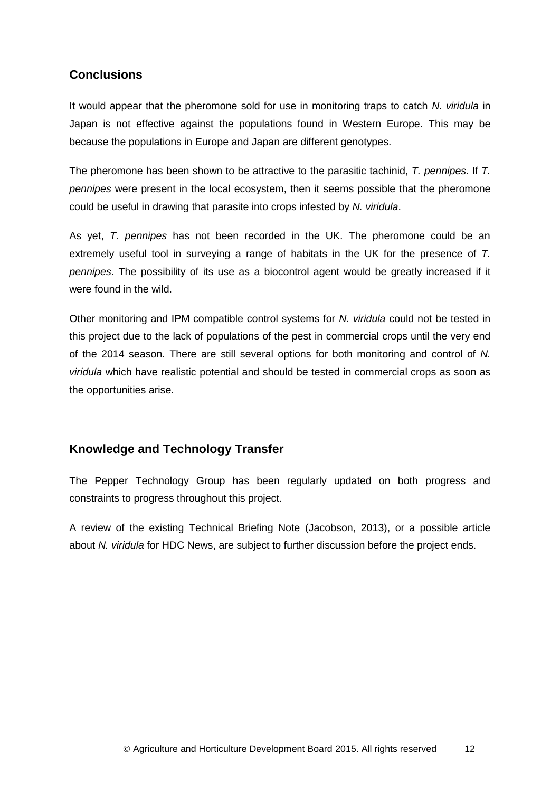## <span id="page-15-0"></span>**Conclusions**

<span id="page-15-1"></span>It would appear that the pheromone sold for use in monitoring traps to catch *N. viridula* in Japan is not effective against the populations found in Western Europe. This may be because the populations in Europe and Japan are different genotypes.

The pheromone has been shown to be attractive to the parasitic tachinid, *T. pennipes*. If *T. pennipes* were present in the local ecosystem, then it seems possible that the pheromone could be useful in drawing that parasite into crops infested by *N. viridula*.

As yet, *T. pennipes* has not been recorded in the UK. The pheromone could be an extremely useful tool in surveying a range of habitats in the UK for the presence of *T. pennipes*. The possibility of its use as a biocontrol agent would be greatly increased if it were found in the wild.

Other monitoring and IPM compatible control systems for *N. viridula* could not be tested in this project due to the lack of populations of the pest in commercial crops until the very end of the 2014 season. There are still several options for both monitoring and control of *N. viridula* which have realistic potential and should be tested in commercial crops as soon as the opportunities arise.

## **Knowledge and Technology Transfer**

The Pepper Technology Group has been regularly updated on both progress and constraints to progress throughout this project.

A review of the existing Technical Briefing Note (Jacobson, 2013), or a possible article about *N. viridula* for HDC News, are subject to further discussion before the project ends.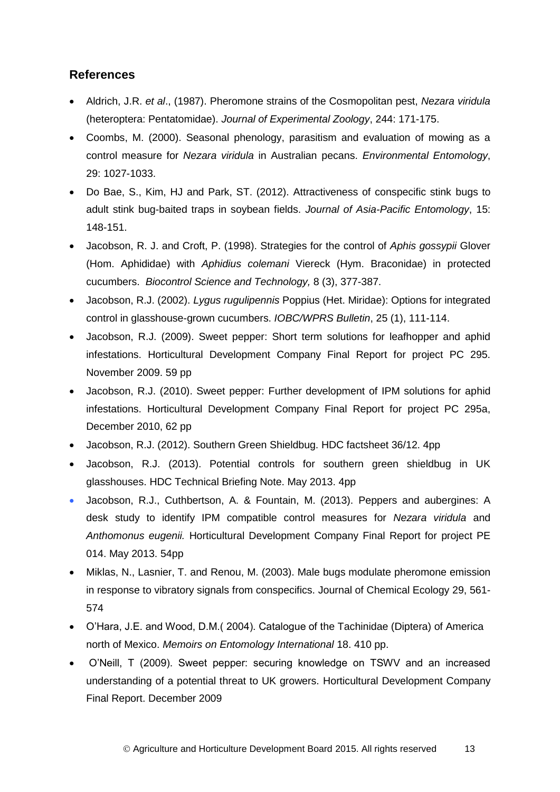## **References**

- Aldrich, J.R. *et al*., (1987). Pheromone strains of the Cosmopolitan pest, *Nezara viridula* (heteroptera: Pentatomidae). *Journal of Experimental Zoology*, 244: 171-175.
- Coombs, M. (2000). Seasonal phenology, parasitism and evaluation of mowing as a control measure for *Nezara viridula* in Australian pecans. *Environmental Entomology*, 29: 1027-1033.
- Do Bae, S., Kim, HJ and Park, ST. (2012). Attractiveness of conspecific stink bugs to adult stink bug-baited traps in soybean fields. *Journal of Asia-Pacific Entomology*, 15: 148-151.
- Jacobson, R. J. and Croft, P. (1998). Strategies for the control of *Aphis gossypii* Glover (Hom. Aphididae) with *Aphidius colemani* Viereck (Hym. Braconidae) in protected cucumbers. *Biocontrol Science and Technology,* 8 (3), 377-387.
- Jacobson, R.J. (2002). *Lygus rugulipennis* Poppius (Het. Miridae): Options for integrated control in glasshouse-grown cucumbers. *IOBC/WPRS Bulletin*, 25 (1), 111-114.
- Jacobson, R.J. (2009). Sweet pepper: Short term solutions for leafhopper and aphid infestations. Horticultural Development Company Final Report for project PC 295. November 2009. 59 pp
- Jacobson, R.J. (2010). Sweet pepper: Further development of IPM solutions for aphid infestations. Horticultural Development Company Final Report for project PC 295a, December 2010, 62 pp
- Jacobson, R.J. (2012). Southern Green Shieldbug. HDC factsheet 36/12. 4pp
- Jacobson, R.J. (2013). Potential controls for southern green shieldbug in UK glasshouses. HDC Technical Briefing Note. May 2013. 4pp
- Jacobson, R.J., Cuthbertson, A. & Fountain, M. (2013). Peppers and aubergines: A desk study to identify IPM compatible control measures for *Nezara viridula* and *Anthomonus eugenii.* Horticultural Development Company Final Report for project PE 014. May 2013. 54pp
- Miklas, N., Lasnier, T. and [Renou,](http://wiki.pestinfo.org/wiki/Michel_Renou) M. (2003). Male bugs modulate pheromone emission in response to vibratory signals from conspecifics. [Journal of Chemical Ecology 29, 561-](http://wiki.pestinfo.org/wiki/Journal_of_Chemical_Ecology_(2003)_29,_561-574) [574](http://wiki.pestinfo.org/wiki/Journal_of_Chemical_Ecology_(2003)_29,_561-574)
- O'Hara, J.E. and Wood, D.M.( 2004). Catalogue of the Tachinidae (Diptera) of America north of Mexico. *Memoirs on Entomology International* 18. 410 pp.
- O'Neill, T (2009). Sweet pepper: securing knowledge on TSWV and an increased understanding of a potential threat to UK growers. Horticultural Development Company Final Report. December 2009